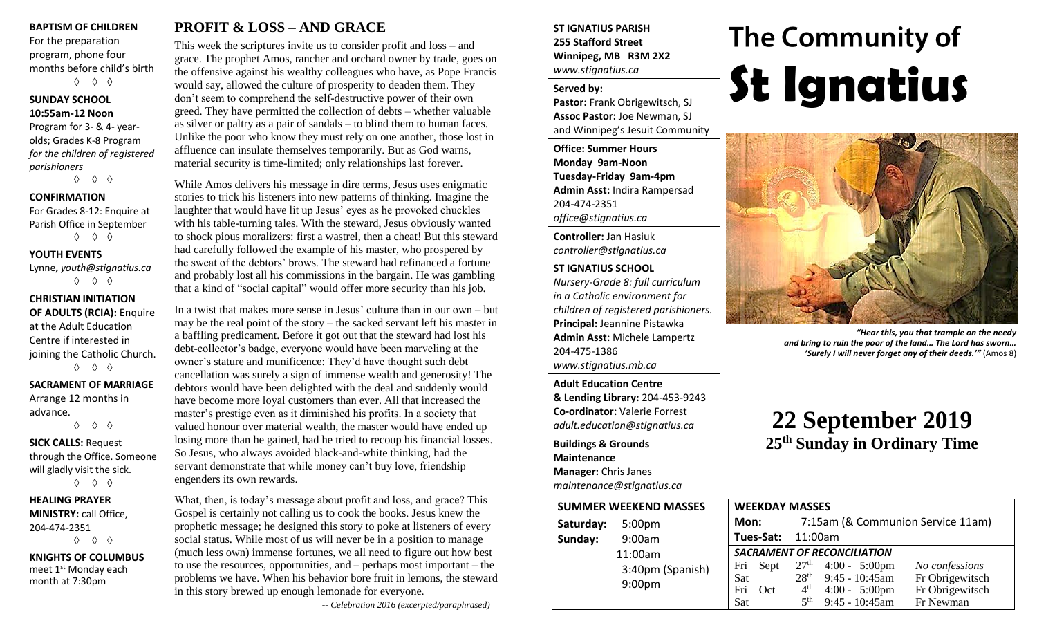### **BAPTISM OF CHILDREN**

For the preparation program, phone four months before child's birth ◊ ◊ ◊

### **SUNDAY SCHOOL 10:55am-12 Noon**

Program for 3- & 4- yearolds; Grades K-8 Program *for the children of registered parishioners*

◊ ◊ ◊

### **CONFIRMATION**

For Grades 8-12: Enquire at Parish Office in September ◊ ◊ ◊

### **YOUTH EVENTS**

Lynne**,** *youth@stignatius.ca* ◊ ◊ ◊

### **CHRISTIAN INITIATION OF ADULTS (RCIA):** Enquire at the Adult Education Centre if interested in joining the Catholic Church. ◊ ◊ ◊

**SACRAMENT OF MARRIAGE** Arrange 12 months in advance.

◊ ◊ ◊ **SICK CALLS:** Request through the Office. Someone

will gladly visit the sick. ◊ ◊ ◊

**HEALING PRAYER MINISTRY:** call Office, 204-474-2351  $\Diamond$   $\Diamond$   $\Diamond$ 

**KNIGHTS OF COLUMBUS** meet 1<sup>st</sup> Monday each month at 7:30pm

# **PROFIT & LOSS – AND GRACE**

This week the scriptures invite us to consider profit and loss – and grace. The prophet Amos, rancher and orchard owner by trade, goes on the offensive against his wealthy colleagues who have, as Pope Francis would say, allowed the culture of prosperity to deaden them. They don't seem to comprehend the self-destructive power of their own greed. They have permitted the collection of debts – whether valuable as silver or paltry as a pair of sandals – to blind them to human faces. Unlike the poor who know they must rely on one another, those lost in affluence can insulate themselves temporarily. But as God warns, material security is time-limited; only relationships last forever.

While Amos delivers his message in dire terms, Jesus uses enigmatic stories to trick his listeners into new patterns of thinking. Imagine the laughter that would have lit up Jesus' eyes as he provoked chuckles with his table-turning tales. With the steward, Jesus obviously wanted to shock pious moralizers: first a wastrel, then a cheat! But this steward had carefully followed the example of his master, who prospered by the sweat of the debtors' brows. The steward had refinanced a fortune and probably lost all his commissions in the bargain. He was gambling that a kind of "social capital" would offer more security than his job.

In a twist that makes more sense in Jesus' culture than in our own – but may be the real point of the story – the sacked servant left his master in a baffling predicament. Before it got out that the steward had lost his debt-collector's badge, everyone would have been marveling at the owner's stature and munificence: They'd have thought such debt cancellation was surely a sign of immense wealth and generosity! The debtors would have been delighted with the deal and suddenly would have become more loyal customers than ever. All that increased the master's prestige even as it diminished his profits. In a society that valued honour over material wealth, the master would have ended up losing more than he gained, had he tried to recoup his financial losses. So Jesus, who always avoided black-and-white thinking, had the servant demonstrate that while money can't buy love, friendship engenders its own rewards.

What, then, is today's message about profit and loss, and grace? This Gospel is certainly not calling us to cook the books. Jesus knew the prophetic message; he designed this story to poke at listeners of every social status. While most of us will never be in a position to manage (much less own) immense fortunes, we all need to figure out how best to use the resources, opportunities, and – perhaps most important – the problems we have. When his behavior bore fruit in lemons, the steward in this story brewed up enough lemonade for everyone.

-- *Celebration 2016 (excerpted/paraphrased)*

### **ST IGNATIUS PARISH 255 Stafford Street Winnipeg, MB R3M 2X2** *www.stignatius.ca*

### **Served by:**

**Pastor:** Frank Obrigewitsch, SJ **Assoc Pastor:** Joe Newman, SJ and Winnipeg's Jesuit Community

**Office: Summer Hours Monday 9am-Noon Tuesday-Friday 9am-4pm Admin Asst:** Indira Rampersad 204-474-2351 *office@stignatius.ca*

**Controller:** Jan Hasiuk *controller@stignatius.ca*

### **ST IGNATIUS SCHOOL**

*Nursery-Grade 8: full curriculum in a Catholic environment for children of registered parishioners.* **Principal:** Jeannine Pistawka **Admin Asst:** Michele Lampertz 204-475-1386 *www.stignatius.mb.ca*

**Adult Education Centre & Lending Library:** 204-453-9243 **Co-ordinator:** Valerie Forrest *adult.education@stignatius.ca*

**Buildings & Grounds Maintenance Manager:** Chris Janes *maintenance@stignatius.ca*

# The Community of **St Ignatius**



*"Hear this, you that trample on the needy and bring to ruin the poor of the land… The Lord has sworn… 'Surely I will never forget any of their deeds.'"* (Amos 8)

# **22 September 2019 25 th Sunday in Ordinary Time**

| <b>SUMMER WEEKEND MASSES</b>    | <b>WEEKDAY MASSES</b>              |                                                               |  |
|---------------------------------|------------------------------------|---------------------------------------------------------------|--|
| Saturday:<br>5:00 <sub>pm</sub> | Mon:                               | 7:15am (& Communion Service 11am)                             |  |
| Sunday:<br>9:00am               | Tues-Sat:                          | 11:00am                                                       |  |
| 11:00am                         | <b>SACRAMENT OF RECONCILIATION</b> |                                                               |  |
| 3:40pm (Spanish)                | Fri<br>Sept                        | $27th$ 4:00 - 5:00pm<br>No confessions                        |  |
|                                 | Sat.                               | $9:45 - 10:45$ am<br>Fr Obrigewitsch<br>28 <sup>th</sup>      |  |
| 9:00 <sub>pm</sub>              | Fri<br>Oct                         | Fr Obrigewitsch<br>4 <sup>th</sup><br>$4:00 - 5:00 \text{pm}$ |  |
|                                 | Sat                                | $9:45 - 10:45$ am<br>5 <sup>th</sup><br>Fr Newman             |  |